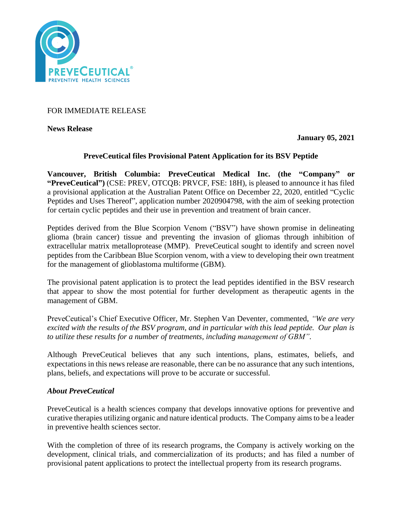

FOR IMMEDIATE RELEASE

**News Release** 

**January 05, 2021**

# **PreveCeutical files Provisional Patent Application for its BSV Peptide**

**Vancouver, British Columbia: PreveCeutical Medical Inc. (the "Company" or "PreveCeutical")** (CSE: PREV, OTCQB: PRVCF, FSE: 18H), is pleased to announce it has filed a provisional application at the Australian Patent Office on December 22, 2020, entitled "Cyclic Peptides and Uses Thereof", application number 2020904798, with the aim of seeking protection for certain cyclic peptides and their use in prevention and treatment of brain cancer.

Peptides derived from the Blue Scorpion Venom ("BSV") have shown promise in delineating glioma (brain cancer) tissue and preventing the invasion of gliomas through inhibition of extracellular matrix metalloprotease (MMP). PreveCeutical sought to identify and screen novel peptides from the Caribbean Blue Scorpion venom, with a view to developing their own treatment for the management of glioblastoma multiforme (GBM).

The provisional patent application is to protect the lead peptides identified in the BSV research that appear to show the most potential for further development as therapeutic agents in the management of GBM.

PreveCeutical's Chief Executive Officer, Mr. Stephen Van Deventer, commented, *"We are very excited with the results of the BSV program, and in particular with this lead peptide. Our plan is to utilize these results for a number of treatments, including management of GBM".*

Although PreveCeutical believes that any such intentions, plans, estimates, beliefs, and expectations in this news release are reasonable, there can be no assurance that any such intentions, plans, beliefs, and expectations will prove to be accurate or successful.

# *About PreveCeutical*

PreveCeutical is a health sciences company that develops innovative options for preventive and curative therapies utilizing organic and nature identical products. The Company aims to be a leader in preventive health sciences sector.

With the completion of three of its research programs, the Company is actively working on the development, clinical trials, and commercialization of its products; and has filed a number of provisional patent applications to protect the intellectual property from its research programs.